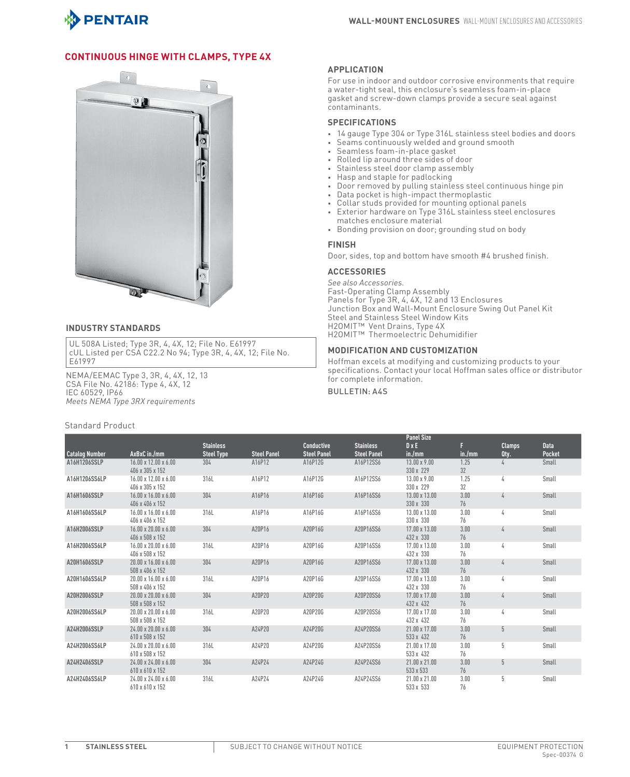

## **Continuous Hinge with Clamps, Type 4X**



## **INDUSTRY STANDARDS**

UL 508A Listed; Type 3R, 4, 4X, 12; File No. E61997 cUL Listed per CSA C22.2 No 94; Type 3R, 4, 4X, 12; File No. E61997

NEMA/EEMAC Type 3, 3R, 4, 4X, 12, 13 CSA File No. 42186: Type 4, 4X, 12 IEC 60529, IP66 *Meets NEMA Type 3RX requirements*

## Standard Product

## **APPLICATION**

For use in indoor and outdoor corrosive environments that require a water-tight seal, this enclosure's seamless foam-in-place gasket and screw-down clamps provide a secure seal against contaminants.

## **SPECIFICATIONS**

- 14 gauge Type 304 or Type 316L stainless steel bodies and doors
- Seams continuously welded and ground smooth
- Seamless foam-in-place gasket
- Rolled lip around three sides of door
- Stainless steel door clamp assembly
- Hasp and staple for padlocking
- Door removed by pulling stainless steel continuous hinge pin
- Data pocket is high-impact thermoplastic
- Collar studs provided for mounting optional panels
- Exterior hardware on Type 316L stainless steel enclosures matches enclosure material
- Bonding provision on door; grounding stud on body

#### **FINISH**

Door, sides, top and bottom have smooth #4 brushed finish.

#### **ACCESSORIES**

*See also Accessories.* Fast-Operating Clamp Assembly Panels for Type 3R, 4, 4X, 12 and 13 Enclosures Junction Box and Wall-Mount Enclosure Swing Out Panel Kit Steel and Stainless Steel Window Kits H2OMIT™ Vent Drains, Type 4X H2OMIT™ Thermoelectric Dehumidifier

## **MODIFICATION AN D CUSTO MIZATION**

Hoffman excels at modifying and customizing products to your specifications. Contact your local Hoffman sales office or distributor for complete information.

## Bulletin: A4S

|                       |                                                     |                   |                    |                    |                    | <b>Panel Size</b>                |            |               |             |
|-----------------------|-----------------------------------------------------|-------------------|--------------------|--------------------|--------------------|----------------------------------|------------|---------------|-------------|
|                       |                                                     | <b>Stainless</b>  |                    | <b>Conductive</b>  | <b>Stainless</b>   | $D \times E$                     |            | <b>Clamps</b> | <b>Data</b> |
| <b>Catalog Number</b> | AxBxC in./mm                                        | <b>Steel Type</b> | <b>Steel Panel</b> | <b>Steel Panel</b> | <b>Steel Panel</b> | in./mm                           | in./mm     | Qty.          | Pocket      |
| A16H1206SSLP          | $16.00 \times 12.00 \times 6.00$<br>406 x 305 x 152 | 304               | A16P12             | A16P12G            | A16P12SS6          | $13.00 \times 9.00$<br>330 x 229 | 1.25<br>32 |               | Small       |
| A16H1206SS6LP         | $16.00 \times 12.00 \times 6.00$<br>406 x 305 x 152 | 316L              | A16P12             | A16P12G            | A16P12SS6          | 13.00 x 9.00<br>330 x 229        | 1.25<br>32 | 4             | Small       |
| A16H1606SSLP          | 16.00 x 16.00 x 6.00<br>406 x 406 x 152             | 304               | A16P16             | A16P16G            | A16P16SS6          | 13.00 x 13.00<br>330 x 330       | 3.00<br>76 | 4             | Small       |
| A16H1606SS6LP         | $16.00 \times 16.00 \times 6.00$<br>406 x 406 x 152 | 316L              | A16P16             | A16P16G            | A16P16SS6          | 13.00 x 13.00<br>330 x 330       | 3.00<br>76 | 4             | Small       |
| A16H2006SSLP          | $16.00 \times 20.00 \times 6.00$<br>406 x 508 x 152 | 304               | A20P16             | A20P16G            | A20P16SS6          | 17.00 x 13.00<br>432 x 330       | 3.00<br>76 | 4             | Small       |
| A16H2006SS6LP         | $16.00 \times 20.00 \times 6.00$<br>406 x 508 x 152 | 316L              | A20P16             | A20P16G            | A20P16SS6          | 17.00 x 13.00<br>432 x 330       | 3.00<br>76 | 4             | Small       |
| A20H1606SSLP          | $20.00 \times 16.00 \times 6.00$<br>508 x 406 x 152 | 304               | A20P16             | A20P16G            | A20P16SS6          | 17.00 x 13.00<br>432 x 330       | 3.00<br>76 | $\frac{1}{4}$ | Small       |
| A20H1606SS6LP         | $20.00 \times 16.00 \times 6.00$<br>508 x 406 x 152 | 316L              | A20P16             | A20P16G            | A20P16SS6          | 17.00 x 13.00<br>432 x 330       | 3.00<br>76 | 4             | Small       |
| A20H2006SSLP          | $20.00 \times 20.00 \times 6.00$<br>508 x 508 x 152 | 304               | A20P20             | A20P20G            | A20P20SS6          | 17.00 x 17.00<br>432 x 432       | 3.00<br>76 | 4             | Small       |
| A20H2006SS6LP         | $20.00 \times 20.00 \times 6.00$<br>508 x 508 x 152 | 316L              | A20P20             | A20P20G            | A20P20SS6          | 17.00 x 17.00<br>432 x 432       | 3.00<br>76 | 4             | Small       |
| A24H2006SSLP          | $24.00 \times 20.00 \times 6.00$<br>610 x 508 x 152 | 304               | A24P20             | A24P20G            | A24P20SS6          | 21.00 x 17.00<br>533 x 432       | 3.00<br>76 | 5             | Small       |
| A24H2006SS6LP         | $24.00 \times 20.00 \times 6.00$<br>610 x 508 x 152 | 316L              | A24P20             | A24P20G            | A24P20SS6          | 21.00 x 17.00<br>533 x 432       | 3.00<br>76 | 5             | Small       |
| A24H2406SSLP          | $24.00 \times 24.00 \times 6.00$<br>610 x 610 x 152 | 304               | A24P24             | A24P24G            | A24P24SS6          | 21.00 x 21.00<br>533 x 533       | 3.00<br>76 | 5             | Small       |
| A24H2406SS6LP         | 24.00 x 24.00 x 6.00<br>610 x 610 x 152             | 316L              | A24P24             | A24P24G            | A24P24SS6          | 21.00 x 21.00<br>533 x 533       | 3.00<br>76 | 5             | Small       |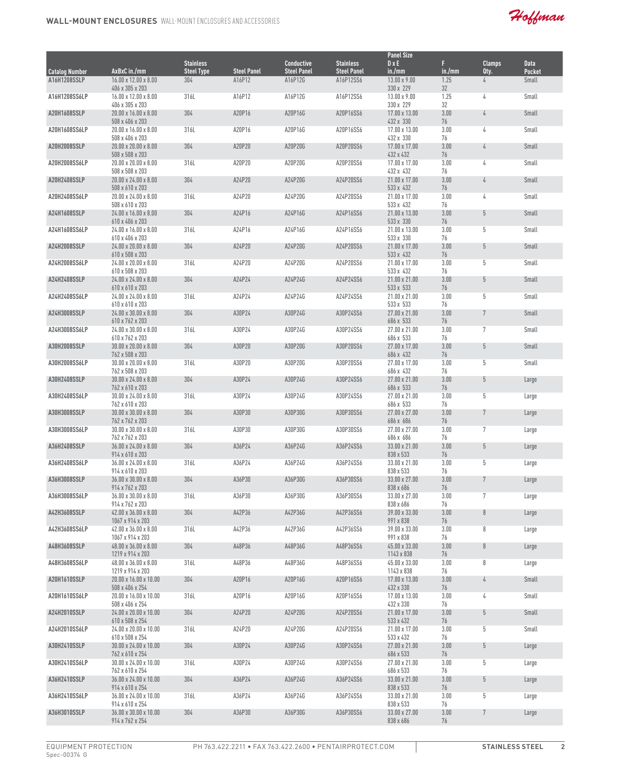Hoffman

|                                       |                                                                        |                          |                              |                               |                                 | <b>Panel Size</b>                       |                  |                |                        |
|---------------------------------------|------------------------------------------------------------------------|--------------------------|------------------------------|-------------------------------|---------------------------------|-----------------------------------------|------------------|----------------|------------------------|
|                                       |                                                                        | <b>Stainless</b>         |                              | <b>Conductive</b>             | <b>Stainless</b>                | D x E                                   | F                | <b>Clamps</b>  | <b>Data</b>            |
| <b>Catalog Number</b><br>A16H1208SSLP | AxBxC in./mm<br>$16.00 \times 12.00 \times 8.00$                       | <b>Steel Type</b><br>304 | <b>Steel Panel</b><br>A16P12 | <b>Steel Panel</b><br>A16P12G | <b>Steel Panel</b><br>A16P12SS6 | in./mm<br>$13.00 \times 9.00$           | in./mm<br>1.25   | Qty.<br>4      | Pocket<br><b>Small</b> |
|                                       | 406 x 305 x 203                                                        |                          |                              |                               |                                 | 330 x 229                               | 32               |                |                        |
| A16H1208SS6LP                         | $16.00 \times 12.00 \times 8.00$                                       | 316L                     | A16P12                       | A16P12G                       | A16P12SS6                       | 13.00 x 9.00                            | 1.25             | 4              | Small                  |
| A20H1608SSLP                          | 406 x 305 x 203<br>$20.00 \times 16.00 \times 8.00$<br>508 x 406 x 203 | 304                      | A20P16                       | A20P16G                       | A20P16SS6                       | 330 x 229<br>17.00 x 13.00<br>432 x 330 | 32<br>3.00<br>76 | 4              | Small                  |
| A20H1608SS6LP                         | 20.00 x 16.00 x 8.00<br>508 x 406 x 203                                | 316L                     | A20P16                       | A20P16G                       | A20P16SS6                       | 17.00 x 13.00<br>432 x 330              | 3.00<br>76       | 4              | Small                  |
| <b>A20H2008SSLP</b>                   | $20.00 \times 20.00 \times 8.00$<br>508 x 508 x 203                    | 304                      | A20P20                       | A20P20G                       | A20P20SS6                       | 17.00 x 17.00<br>432 x 432              | 3.00<br>76       | 4              | Small                  |
| A20H2008SS6LP                         | $20.00 \times 20.00 \times 8.00$<br>508 x 508 x 203                    | 316L                     | A20P20                       | A20P20G                       | A20P20SS6                       | 17.00 x 17.00<br>432 x 432              | 3.00<br>76       | 4              | Small                  |
| A20H2408SSLP                          | $20.00 \times 24.00 \times 8.00$<br>508 x 610 x 203                    | 304                      | A24P20                       | A24P20G                       | A24P20SS6                       | 21.00 x 17.00<br>533 x 432              | 3.00<br>76       | 4              | Small                  |
| A20H2408SS6LP                         | 20.00 x 24.00 x 8.00<br>508 x 610 x 203                                | 316L                     | A24P20                       | A24P20G                       | A24P20SS6                       | 21.00 x 17.00<br>533 x 432              | 3.00<br>76       | 4              | Small                  |
| A24H1608SSLP                          | 24.00 x 16.00 x 8.00<br>610 x 406 x 203                                | 304                      | A24P16                       | A24P16G                       | A24P16SS6                       | 21.00 x 13.00<br>533 x 330              | 3.00<br>76       | 5              | Small                  |
| A24H1608SS6LP                         | 24.00 x 16.00 x 8.00<br>610 x 406 x 203                                | 316L                     | A24P16                       | A24P16G                       | A24P16SS6                       | 21.00 x 13.00<br>533 x 330              | 3.00<br>76       | 5              | Small                  |
| A24H2008SSLP                          | 24.00 x 20.00 x 8.00<br>610 x 508 x 203                                | 304                      | A24P20                       | A24P20G                       | A24P20SS6                       | 21.00 x 17.00<br>533 x 432              | 3.00<br>76       | $5\,$          | Small                  |
| A24H2008SS6LP                         | $24.00 \times 20.00 \times 8.00$<br>610 x 508 x 203                    | 316L                     | A24P20                       | A24P20G                       | A24P20SS6                       | 21.00 x 17.00<br>533 x 432              | 3.00<br>76       | 5              | Small                  |
| A24H2408SSLP                          | 24.00 x 24.00 x 8.00<br>610 x 610 x 203                                | 304                      | A24P24                       | A24P24G                       | A24P24SS6                       | 21.00 x 21.00<br>533 x 533              | 3.00<br>76       | 5              | Small                  |
| A24H2408SS6LP                         | 24.00 x 24.00 x 8.00<br>610 x 610 x 203                                | 316L                     | A24P24                       | A24P24G                       | A24P24SS6                       | 21.00 x 21.00<br>533 x 533              | 3.00<br>76       | 5              | Small                  |
| A24H3008SSLP                          | 24.00 x 30.00 x 8.00<br>610 x 762 x 203                                | 304                      | A30P24                       | A30P24G                       | A30P24SS6                       | 27.00 x 21.00<br>686 x 533              | 3.00<br>76       | $7$            | Small                  |
| A24H3008SS6LP                         | 24.00 x 30.00 x 8.00<br>610 x 762 x 203                                | 316L                     | A30P24                       | A30P24G                       | A30P24SS6                       | 27.00 x 21.00<br>686 x 533              | 3.00<br>76       | $\overline{7}$ | Small                  |
| A30H2008SSLP                          | $30.00 \times 20.00 \times 8.00$<br>762 x 508 x 203                    | 304                      | A30P20                       | A30P20G                       | A30P20SS6                       | 27.00 x 17.00<br>686 x 432              | 3.00<br>76       | 5              | Small                  |
| A30H2008SS6LP                         | $30.00 \times 20.00 \times 8.00$<br>762 x 508 x 203                    | 316L                     | A30P20                       | A30P20G                       | A30P20SS6                       | 27.00 x 17.00<br>686 x 432              | 3.00<br>76       | 5              | Small                  |
| A30H2408SSLP                          | $30.00 \times 24.00 \times 8.00$<br>762 x 610 x 203                    | 304                      | A30P24                       | A30P24G                       | A30P24SS6                       | 27.00 x 21.00<br>686 x 533              | 3.00<br>76       | 5              | Large                  |
| A30H2408SS6LP                         | $30.00 \times 24.00 \times 8.00$<br>762 x 610 x 203                    | 316L                     | A30P24                       | A30P24G                       | A30P24SS6                       | 27.00 x 21.00<br>686 x 533              | 3.00<br>76       | 5              | Large                  |
| A30H3008SSLP                          | $30.00 \times 30.00 \times 8.00$<br>762 x 762 x 203                    | 304                      | A30P30                       | A30P30G                       | A30P30SS6                       | 27.00 x 27.00<br>686 x 686              | 3.00<br>76       | $7\phantom{.}$ | Large                  |
| A30H3008SS6LP                         | $30.00 \times 30.00 \times 8.00$<br>762 x 762 x 203                    | 316L                     | A30P30                       | A30P30G                       | A30P30SS6                       | 27.00 x 27.00<br>686 x 686              | 3.00<br>76       | $\overline{7}$ | Large                  |
| A36H2408SSLP                          | 36.00 x 24.00 x 8.00<br>914 x 610 x 203                                | 304                      | A36P24                       | A36P24G                       | A36P24SS6                       | 33.00 x 21.00<br>838 x 533              | 3.00<br>76       | 5              | Large                  |
| A36H2408SS6LP                         | 36.00 x 24.00 x 8.00<br>914 x 610 x 203                                | 316L                     | A36P24                       | A36P24G                       | A36P24SS6                       | 33.00 x 21.00<br>838 x 533              | 3.00<br>76       | 5              | Large                  |
| A36H3008SSLP                          | 36.00 x 30.00 x 8.00<br>914 x 762 x 203                                | 304                      | A36P30                       | A36P30G                       | A36P30SS6                       | 33.00 x 27.00<br>838 x 686              | 3.00<br>76       | $\overline{7}$ | Large                  |
| A36H3008SS6LP                         | 36.00 x 30.00 x 8.00<br>914 x 762 x 203                                | 316L                     | A36P30                       | A36P30G                       | A36P30SS6                       | 33.00 x 27.00<br>838 x 686              | 3.00<br>76       | 7              | Large                  |
| A42H3608SSLP                          | 42.00 x 36.00 x 8.00<br>1067 x 914 x 203                               | 304                      | A42P36                       | A42P36G                       | A42P36SS6                       | 39.00 x 33.00<br>991 x 838              | 3.00<br>76       | $\, 8$         | Large                  |
| A42H3608SS6LP                         | $42.00 \times 36.00 \times 8.00$<br>1067 x 914 x 203                   | 316L                     | A42P36                       | A42P36G                       | A42P36SS6                       | 39.00 x 33.00<br>991 x 838              | 3.00<br>76       | 8              | Large                  |
| A48H3608SSLP                          | 48.00 x 36.00 x 8.00<br>1219 x 914 x 203                               | 304                      | A48P36                       | A48P36G                       | A48P36SS6                       | 45.00 x 33.00<br>1143 x 838             | 3.00<br>76       | $\, 8$         | Large                  |
| A48H3608SS6LP                         | 48.00 x 36.00 x 8.00<br>1219 x 914 x 203                               | 316L                     | A48P36                       | A48P36G                       | A48P36SS6                       | 45.00 x 33.00<br>1143 x 838             | 3.00<br>76       | 8              | Large                  |
| A20H1610SSLP                          | 20.00 x 16.00 x 10.00<br>508 x 406 x 254                               | 304                      | A20P16                       | A20P16G                       | A20P16SS6                       | 17.00 x 13.00<br>432 x 330              | 3.00<br>76       | 4              | Small                  |
| A20H1610SS6LP                         | 20.00 x 16.00 x 10.00<br>508 x 406 x 254                               | 316L                     | A20P16                       | A20P16G                       | A20P16SS6                       | 17.00 x 13.00<br>432 x 330              | 3.00<br>76       | 4              | Small                  |
| A24H2010SSLP                          | 24.00 x 20.00 x 10.00<br>610 x 508 x 254                               | 304                      | A24P20                       | A24P20G                       | A24P20SS6                       | 21.00 x 17.00<br>533 x 432              | 3.00<br>76       | $5\,$          | Small                  |
| A24H2010SS6LP                         | 24.00 x 20.00 x 10.00<br>610 x 508 x 254                               | 316L                     | A24P20                       | A24P20G                       | A24P20SS6                       | 21.00 x 17.00<br>533 x 432              | 3.00<br>76       | 5              | Small                  |
| A30H2410SSLP                          | $30.00 \times 24.00 \times 10.00$<br>762 x 610 x 254                   | 304                      | A30P24                       | A30P24G                       | A30P24SS6                       | 27.00 x 21.00<br>686 x 533              | 3.00<br>76       | 5              | Large                  |
| A30H2410SS6LP                         | 30.00 x 24.00 x 10.00<br>762 x 610 x 254                               | 316L                     | A30P24                       | A30P24G                       | A30P24SS6                       | 27.00 x 21.00<br>686 x 533              | 3.00<br>76       | 5              | Large                  |
| A36H2410SSLP                          | 36.00 x 24.00 x 10.00<br>914 x 610 x 254                               | 304                      | A36P24                       | A36P24G                       | A36P24SS6                       | 33.00 x 21.00<br>838 x 533              | 3.00<br>76       | 5              | Large                  |
| A36H2410SS6LP                         | 36.00 x 24.00 x 10.00<br>914 x 610 x 254                               | 316L                     | A36P24                       | A36P24G                       | A36P24SS6                       | 33.00 x 21.00<br>838 x 533              | 3.00<br>76       | 5              | Large                  |
| A36H3010SSLP                          | 36.00 x 30.00 x 10.00<br>914 x 762 x 254                               | 304                      | A36P30                       | A36P30G                       | A36P30SS6                       | 33.00 x 27.00<br>838 x 686              | 3.00<br>76       | $\overline{7}$ | Large                  |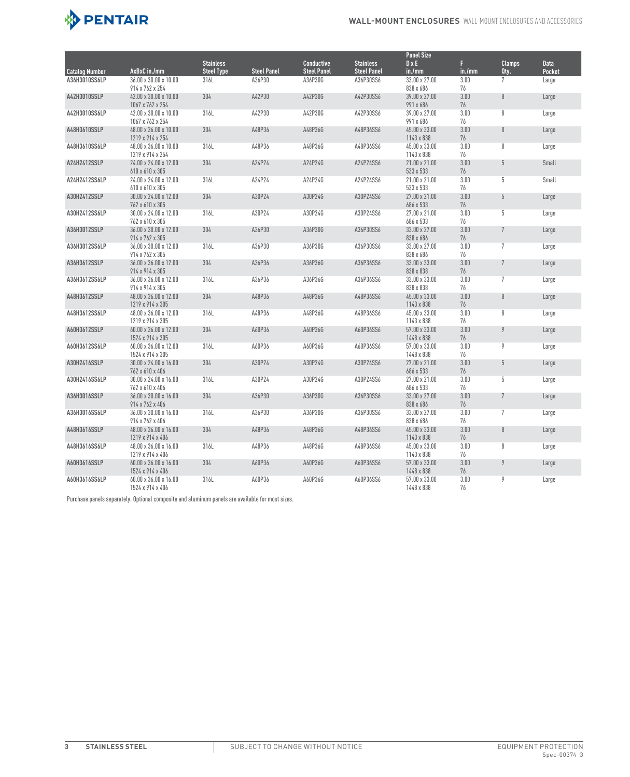

|                                        |                                                       |                   |                    |                               |                    | <b>Panel Size</b>           |            |                |             |
|----------------------------------------|-------------------------------------------------------|-------------------|--------------------|-------------------------------|--------------------|-----------------------------|------------|----------------|-------------|
|                                        |                                                       | <b>Stainless</b>  |                    | <b>Conductive</b>             | <b>Stainless</b>   | $D \times E$                | F.         | <b>Clamps</b>  | <b>Data</b> |
| <b>Catalog Number</b><br>A36H3010SS6LP | AxBxC in./mm                                          | <b>Steel Type</b> | <b>Steel Panel</b> | <b>Steel Panel</b><br>A36P30G | <b>Steel Panel</b> | in./mm<br>33.00 x 27.00     | in./mm     | Qty.<br>7      | Pocket      |
|                                        | 36.00 x 30.00 x 10.00<br>914 x 762 x 254              | 316L              | A36P30             |                               | A36P30SS6          | 838 x 686                   | 3.00<br>76 |                | Large       |
| A42H3010SSLP                           | 42.00 x 30.00 x 10.00<br>1067 x 762 x 254             | 304               | A42P30             | A42P30G                       | A42P30SS6          | 39.00 x 27.00<br>991 x 686  | 3.00<br>76 | 8              | Large       |
| A42H3010SS6LP                          | 42.00 x 30.00 x 10.00                                 | 316L              | A42P30             | A42P30G                       | A42P30SS6          | 39.00 x 27.00               | 3.00       | 8              | Large       |
|                                        | 1067 x 762 x 254                                      |                   |                    |                               |                    | 991 x 686                   | 76         |                |             |
| A48H3610SSLP                           | 48.00 x 36.00 x 10.00<br>1219 x 914 x 254             | 304               | A48P36             | A48P36G                       | A48P36SS6          | 45.00 x 33.00<br>1143 x 838 | 3.00<br>76 | 8              | Large       |
| A48H3610SS6LP                          | 48.00 x 36.00 x 10.00<br>1219 x 914 x 254             | 316L              | A48P36             | A48P36G                       | A48P36SS6          | 45.00 x 33.00<br>1143 x 838 | 3.00<br>76 | 8              | Large       |
| <b>A24H2412SSLP</b>                    | 24.00 x 24.00 x 12.00<br>610 x 610 x 305              | 304               | A24P24             | A24P24G                       | A24P24SS6          | 21.00 x 21.00<br>533 x 533  | 3.00<br>76 | 5              | Small       |
| A24H2412SS6LP                          | 24.00 x 24.00 x 12.00                                 | 316L              | A24P24             | A24P24G                       | A24P24SS6          | 21.00 x 21.00               | 3.00       | 5              | Small       |
|                                        | 610 x 610 x 305                                       |                   |                    |                               |                    | 533 x 533                   | 76         |                |             |
| A30H2412SSLP                           | $30.00 \times 24.00 \times 12.00$<br>762 x 610 x 305  | 304               | A30P24             | A30P24G                       | A30P24SS6          | 27.00 x 21.00<br>686 x 533  | 3.00<br>76 | 5              | Large       |
| A30H2412SS6LP                          | 30.00 x 24.00 x 12.00<br>762 x 610 x 305              | 316L              | A30P24             | A30P24G                       | A30P24SS6          | 27.00 x 21.00<br>686 x 533  | 3.00<br>76 | 5              | Large       |
| A36H3012SSLP                           | 36.00 x 30.00 x 12.00<br>914 x 762 x 305              | 304               | A36P30             | A36P30G                       | A36P30SS6          | 33.00 x 27.00<br>838 x 686  | 3.00<br>76 | $\overline{7}$ | Large       |
| A36H3012SS6LP                          | 36.00 x 30.00 x 12.00<br>914 x 762 x 305              | 316L              | A36P30             | A36P30G                       | A36P30SS6          | 33.00 x 27.00<br>838 x 686  | 3.00<br>76 | $\overline{7}$ | Large       |
| A36H3612SSLP                           | 36.00 x 36.00 x 12.00<br>914 x 914 x 305              | 304               | A36P36             | A36P36G                       | A36P36SS6          | 33.00 x 33.00<br>838 x 838  | 3.00<br>76 | $7\phantom{.}$ | Large       |
| A36H3612SS6LP                          | 36.00 x 36.00 x 12.00                                 | 316L              | A36P36             | A36P36G                       | A36P36SS6          | 33.00 x 33.00               | 3.00       | 7              | Large       |
|                                        | 914 x 914 x 305                                       |                   |                    |                               |                    | 838 x 838                   | 76         |                |             |
| A48H3612SSLP                           | 48.00 x 36.00 x 12.00<br>1219 x 914 x 305             | 304               | A48P36             | A48P36G                       | A48P36SS6          | 45.00 x 33.00<br>1143 x 838 | 3.00<br>76 | 8              | Large       |
| A48H3612SS6LP                          | 48.00 x 36.00 x 12.00<br>1219 x 914 x 305             | 316L              | A48P36             | A48P36G                       | A48P36SS6          | 45.00 x 33.00<br>1143 x 838 | 3.00<br>76 | 8              | Large       |
| A60H3612SSLP                           | 60.00 x 36.00 x 12.00<br>1524 x 914 x 305             | 304               | A60P36             | A60P36G                       | A60P36SS6          | 57.00 x 33.00<br>1448 x 838 | 3.00<br>76 | 9              | Large       |
| A60H3612SS6LP                          | $60.00 \times 36.00 \times 12.00$<br>1524 x 914 x 305 | 316L              | A60P36             | A60P36G                       | A60P36SS6          | 57.00 x 33.00<br>1448 x 838 | 3.00<br>76 | 9              | Large       |
| A30H2416SSLP                           | 30.00 x 24.00 x 16.00                                 | 304               | A30P24             | A30P24G                       | A30P24SS6          | 27.00 x 21.00               | 3.00       | 5              | Large       |
| A30H2416SS6LP                          | 762 x 610 x 406<br>30.00 x 24.00 x 16.00              | 316L              | A30P24             | A30P24G                       | A30P24SS6          | 686 x 533<br>27.00 x 21.00  | 76<br>3.00 | 5              | Large       |
|                                        | 762 x 610 x 406                                       |                   |                    |                               |                    | 686 x 533                   | 76         |                |             |
| A36H3016SSLP                           | 36.00 x 30.00 x 16.00<br>914 x 762 x 406              | 304               | A36P30             | A36P30G                       | A36P30SS6          | 33.00 x 27.00<br>838 x 686  | 3.00<br>76 | $7\phantom{.}$ | Large       |
| A36H3016SS6LP                          | 36.00 x 30.00 x 16.00<br>914 x 762 x 406              | 316L              | A36P30             | A36P30G                       | A36P30SS6          | 33.00 x 27.00<br>838 x 686  | 3.00<br>76 | $\overline{7}$ | Large       |
| A48H3616SSLP                           | 48.00 x 36.00 x 16.00<br>1219 x 914 x 406             | 304               | A48P36             | A48P36G                       | A48P36SS6          | 45.00 x 33.00<br>1143 x 838 | 3.00<br>76 | 8              | Large       |
| A48H3616SS6LP                          | 48.00 x 36.00 x 16.00                                 | 316L              | A48P36             | A48P36G                       | A48P36SS6          | 45.00 x 33.00               | 3.00       | 8              | Large       |
| A60H3616SSLP                           | 1219 x 914 x 406<br>60.00 x 36.00 x 16.00             | 304               | A60P36             | A60P36G                       | A60P36SS6          | 1143 x 838<br>57.00 x 33.00 | 76<br>3.00 | 9              | Large       |
|                                        | 1524 x 914 x 406                                      |                   |                    |                               |                    | 1448 x 838                  | 76         |                |             |
| A60H3616SS6LP                          | 60.00 x 36.00 x 16.00<br>1524 x 914 x 406             | 316L              | A60P36             | A60P36G                       | A60P36SS6          | 57.00 x 33.00<br>1448 x 838 | 3.00<br>76 | 9              | Large       |

Purchase panels separately. Optional composite and aluminum panels are available for most sizes.